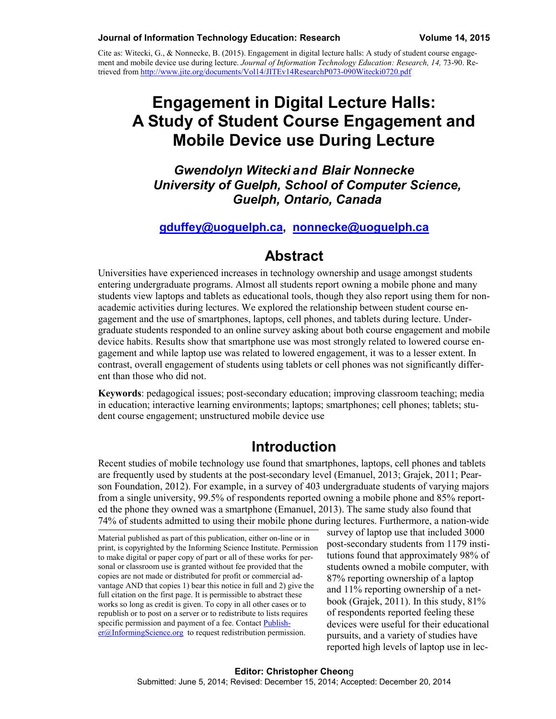Cite as: Witecki, G., & Nonnecke, B. (2015). Engagement in digital lecture halls: A study of student course engagement and mobile device use during lecture. *Journal of Information Technology Education: Research, 14,* 73-90. Retrieved from<http://www.jite.org/documents/Vol14/JITEv14ResearchP073-090Witecki0720.pdf>

# **Engagement in Digital Lecture Halls: A Study of Student Course Engagement and Mobile Device use During Lecture**

*Gwendolyn Witecki and Blair Nonnecke University of Guelph, School of Computer Science, Guelph, Ontario, Canada*

#### **[gduffey@uoguelph.ca,](mailto:gduffey@uoguelph.ca) [nonnecke@uoguelph.ca](mailto:nonnecke@uoguelph.ca)**

#### **Abstract**

Universities have experienced increases in technology ownership and usage amongst students entering undergraduate programs. Almost all students report owning a mobile phone and many students view laptops and tablets as educational tools, though they also report using them for nonacademic activities during lectures. We explored the relationship between student course engagement and the use of smartphones, laptops, cell phones, and tablets during lecture. Undergraduate students responded to an online survey asking about both course engagement and mobile device habits. Results show that smartphone use was most strongly related to lowered course engagement and while laptop use was related to lowered engagement, it was to a lesser extent. In contrast, overall engagement of students using tablets or cell phones was not significantly different than those who did not.

**Keywords**: pedagogical issues; post-secondary education; improving classroom teaching; media in education; interactive learning environments; laptops; smartphones; cell phones; tablets; student course engagement; unstructured mobile device use

### **Introduction**

Recent studies of mobile technology use found that smartphones, laptops, cell phones and tablets are frequently used by students at the post-secondary level (Emanuel, 2013; Grajek, 2011; Pearson Foundation, 2012). For example, in a survey of 403 undergraduate students of varying majors from a single university, 99.5% of respondents reported owning a mobile phone and 85% reported the phone they owned was a smartphone (Emanuel, 2013). The same study also found that 74% of students admitted to using their mobile phone during lectures. Furthermore, a nation-wide

Material published as part of this publication, either on-line or in print, is copyrighted by the Informing Science Institute. Permission to make digital or paper copy of part or all of these works for personal or classroom use is granted without fee provided that the copies are not made or distributed for profit or commercial advantage AND that copies 1) bear this notice in full and 2) give the full citation on the first page. It is permissible to abstract these works so long as credit is given. To copy in all other cases or to republish or to post on a server or to redistribute to lists requires specific permission and payment of a fee. Contac[t Publish](mailto:Publisher@InformingScience.org)[er@InformingScience.org](mailto:Publisher@InformingScience.org) to request redistribution permission.

survey of laptop use that included 3000 post-secondary students from 1179 institutions found that approximately 98% of students owned a mobile computer, with 87% reporting ownership of a laptop and 11% reporting ownership of a netbook (Grajek, 2011). In this study, 81% of respondents reported feeling these devices were useful for their educational pursuits, and a variety of studies have reported high levels of laptop use in lec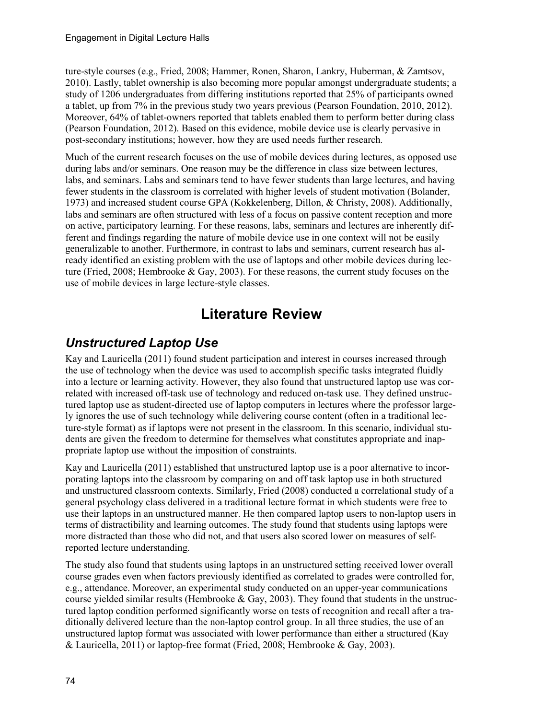ture-style courses (e.g., Fried, 2008; Hammer, Ronen, Sharon, Lankry, Huberman, & Zamtsov, 2010). Lastly, tablet ownership is also becoming more popular amongst undergraduate students; a study of 1206 undergraduates from differing institutions reported that 25% of participants owned a tablet, up from 7% in the previous study two years previous (Pearson Foundation, 2010, 2012). Moreover, 64% of tablet-owners reported that tablets enabled them to perform better during class (Pearson Foundation, 2012). Based on this evidence, mobile device use is clearly pervasive in post-secondary institutions; however, how they are used needs further research.

Much of the current research focuses on the use of mobile devices during lectures, as opposed use during labs and/or seminars. One reason may be the difference in class size between lectures, labs, and seminars. Labs and seminars tend to have fewer students than large lectures, and having fewer students in the classroom is correlated with higher levels of student motivation (Bolander, 1973) and increased student course GPA (Kokkelenberg, Dillon, & Christy, 2008). Additionally, labs and seminars are often structured with less of a focus on passive content reception and more on active, participatory learning. For these reasons, labs, seminars and lectures are inherently different and findings regarding the nature of mobile device use in one context will not be easily generalizable to another. Furthermore, in contrast to labs and seminars, current research has already identified an existing problem with the use of laptops and other mobile devices during lecture (Fried, 2008; Hembrooke & Gay, 2003). For these reasons, the current study focuses on the use of mobile devices in large lecture-style classes.

# **Literature Review**

### *Unstructured Laptop Use*

Kay and Lauricella (2011) found student participation and interest in courses increased through the use of technology when the device was used to accomplish specific tasks integrated fluidly into a lecture or learning activity. However, they also found that unstructured laptop use was correlated with increased off-task use of technology and reduced on-task use. They defined unstructured laptop use as student-directed use of laptop computers in lectures where the professor largely ignores the use of such technology while delivering course content (often in a traditional lecture-style format) as if laptops were not present in the classroom. In this scenario, individual students are given the freedom to determine for themselves what constitutes appropriate and inappropriate laptop use without the imposition of constraints.

Kay and Lauricella (2011) established that unstructured laptop use is a poor alternative to incorporating laptops into the classroom by comparing on and off task laptop use in both structured and unstructured classroom contexts. Similarly, Fried (2008) conducted a correlational study of a general psychology class delivered in a traditional lecture format in which students were free to use their laptops in an unstructured manner. He then compared laptop users to non-laptop users in terms of distractibility and learning outcomes. The study found that students using laptops were more distracted than those who did not, and that users also scored lower on measures of selfreported lecture understanding.

The study also found that students using laptops in an unstructured setting received lower overall course grades even when factors previously identified as correlated to grades were controlled for, e.g., attendance. Moreover, an experimental study conducted on an upper-year communications course yielded similar results (Hembrooke  $\&$  Gay, 2003). They found that students in the unstructured laptop condition performed significantly worse on tests of recognition and recall after a traditionally delivered lecture than the non-laptop control group. In all three studies, the use of an unstructured laptop format was associated with lower performance than either a structured (Kay & Lauricella, 2011) or laptop-free format (Fried, 2008; Hembrooke & Gay, 2003).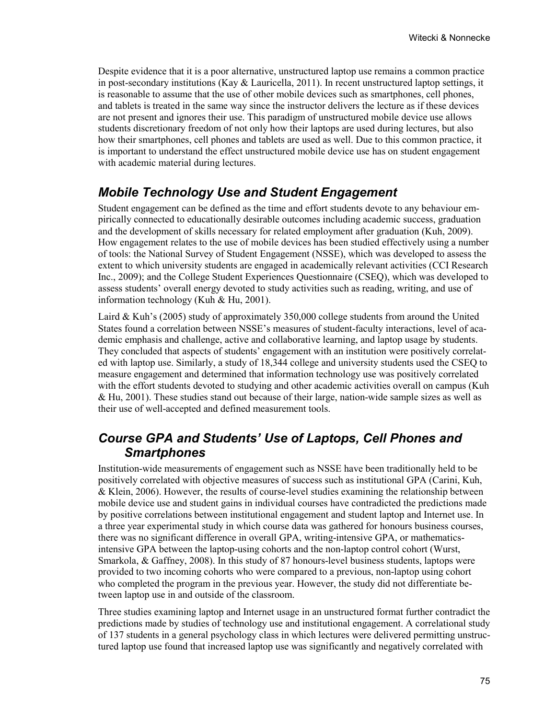Despite evidence that it is a poor alternative, unstructured laptop use remains a common practice in post-secondary institutions (Kay & Lauricella, 2011). In recent unstructured laptop settings, it is reasonable to assume that the use of other mobile devices such as smartphones, cell phones, and tablets is treated in the same way since the instructor delivers the lecture as if these devices are not present and ignores their use. This paradigm of unstructured mobile device use allows students discretionary freedom of not only how their laptops are used during lectures, but also how their smartphones, cell phones and tablets are used as well. Due to this common practice, it is important to understand the effect unstructured mobile device use has on student engagement with academic material during lectures.

### *Mobile Technology Use and Student Engagement*

Student engagement can be defined as the time and effort students devote to any behaviour empirically connected to educationally desirable outcomes including academic success, graduation and the development of skills necessary for related employment after graduation (Kuh, 2009). How engagement relates to the use of mobile devices has been studied effectively using a number of tools: the National Survey of Student Engagement (NSSE), which was developed to assess the extent to which university students are engaged in academically relevant activities (CCI Research Inc., 2009); and the College Student Experiences Questionnaire (CSEQ), which was developed to assess students' overall energy devoted to study activities such as reading, writing, and use of information technology (Kuh & Hu, 2001).

Laird & Kuh's (2005) study of approximately 350,000 college students from around the United States found a correlation between NSSE's measures of student-faculty interactions, level of academic emphasis and challenge, active and collaborative learning, and laptop usage by students. They concluded that aspects of students' engagement with an institution were positively correlated with laptop use. Similarly, a study of 18,344 college and university students used the CSEQ to measure engagement and determined that information technology use was positively correlated with the effort students devoted to studying and other academic activities overall on campus (Kuh  $&$  Hu, 2001). These studies stand out because of their large, nation-wide sample sizes as well as their use of well-accepted and defined measurement tools.

### *Course GPA and Students' Use of Laptops, Cell Phones and Smartphones*

Institution-wide measurements of engagement such as NSSE have been traditionally held to be positively correlated with objective measures of success such as institutional GPA (Carini, Kuh, & Klein, 2006). However, the results of course-level studies examining the relationship between mobile device use and student gains in individual courses have contradicted the predictions made by positive correlations between institutional engagement and student laptop and Internet use. In a three year experimental study in which course data was gathered for honours business courses, there was no significant difference in overall GPA, writing-intensive GPA, or mathematicsintensive GPA between the laptop-using cohorts and the non-laptop control cohort (Wurst, Smarkola, & Gaffney, 2008). In this study of 87 honours-level business students, laptops were provided to two incoming cohorts who were compared to a previous, non-laptop using cohort who completed the program in the previous year. However, the study did not differentiate between laptop use in and outside of the classroom.

Three studies examining laptop and Internet usage in an unstructured format further contradict the predictions made by studies of technology use and institutional engagement. A correlational study of 137 students in a general psychology class in which lectures were delivered permitting unstructured laptop use found that increased laptop use was significantly and negatively correlated with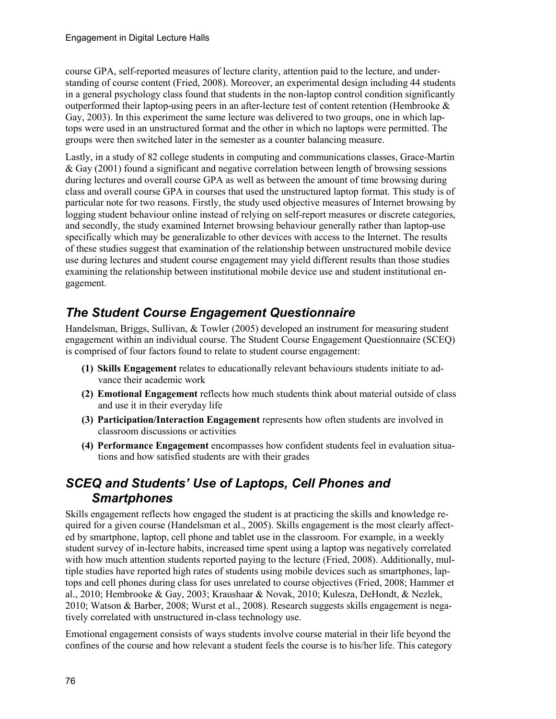course GPA, self-reported measures of lecture clarity, attention paid to the lecture, and understanding of course content (Fried, 2008). Moreover, an experimental design including 44 students in a general psychology class found that students in the non-laptop control condition significantly outperformed their laptop-using peers in an after-lecture test of content retention (Hembrooke  $\&$ Gay, 2003). In this experiment the same lecture was delivered to two groups, one in which laptops were used in an unstructured format and the other in which no laptops were permitted. The groups were then switched later in the semester as a counter balancing measure.

Lastly, in a study of 82 college students in computing and communications classes, Grace-Martin & Gay (2001) found a significant and negative correlation between length of browsing sessions during lectures and overall course GPA as well as between the amount of time browsing during class and overall course GPA in courses that used the unstructured laptop format. This study is of particular note for two reasons. Firstly, the study used objective measures of Internet browsing by logging student behaviour online instead of relying on self-report measures or discrete categories, and secondly, the study examined Internet browsing behaviour generally rather than laptop-use specifically which may be generalizable to other devices with access to the Internet. The results of these studies suggest that examination of the relationship between unstructured mobile device use during lectures and student course engagement may yield different results than those studies examining the relationship between institutional mobile device use and student institutional engagement.

## *The Student Course Engagement Questionnaire*

Handelsman, Briggs, Sullivan, & Towler (2005) developed an instrument for measuring student engagement within an individual course. The Student Course Engagement Questionnaire (SCEQ) is comprised of four factors found to relate to student course engagement:

- **(1) Skills Engagement** relates to educationally relevant behaviours students initiate to advance their academic work
- **(2) Emotional Engagement** reflects how much students think about material outside of class and use it in their everyday life
- **(3) Participation/Interaction Engagement** represents how often students are involved in classroom discussions or activities
- **(4) Performance Engagement** encompasses how confident students feel in evaluation situations and how satisfied students are with their grades

### *SCEQ and Students' Use of Laptops, Cell Phones and Smartphones*

Skills engagement reflects how engaged the student is at practicing the skills and knowledge required for a given course (Handelsman et al., 2005). Skills engagement is the most clearly affected by smartphone, laptop, cell phone and tablet use in the classroom. For example, in a weekly student survey of in-lecture habits, increased time spent using a laptop was negatively correlated with how much attention students reported paying to the lecture (Fried, 2008). Additionally, multiple studies have reported high rates of students using mobile devices such as smartphones, laptops and cell phones during class for uses unrelated to course objectives (Fried, 2008; Hammer et al., 2010; Hembrooke & Gay, 2003; Kraushaar & Novak, 2010; Kulesza, DeHondt, & Nezlek, 2010; Watson & Barber, 2008; Wurst et al., 2008). Research suggests skills engagement is negatively correlated with unstructured in-class technology use.

Emotional engagement consists of ways students involve course material in their life beyond the confines of the course and how relevant a student feels the course is to his/her life. This category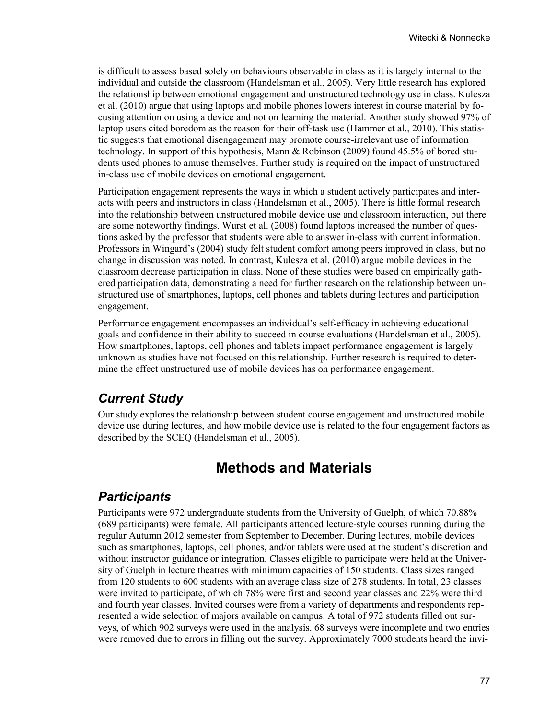is difficult to assess based solely on behaviours observable in class as it is largely internal to the individual and outside the classroom (Handelsman et al., 2005). Very little research has explored the relationship between emotional engagement and unstructured technology use in class. Kulesza et al. (2010) argue that using laptops and mobile phones lowers interest in course material by focusing attention on using a device and not on learning the material. Another study showed 97% of laptop users cited boredom as the reason for their off-task use (Hammer et al., 2010). This statistic suggests that emotional disengagement may promote course-irrelevant use of information technology. In support of this hypothesis, Mann & Robinson (2009) found 45.5% of bored students used phones to amuse themselves. Further study is required on the impact of unstructured in-class use of mobile devices on emotional engagement.

Participation engagement represents the ways in which a student actively participates and interacts with peers and instructors in class (Handelsman et al., 2005). There is little formal research into the relationship between unstructured mobile device use and classroom interaction, but there are some noteworthy findings. Wurst et al. (2008) found laptops increased the number of questions asked by the professor that students were able to answer in-class with current information. Professors in Wingard's (2004) study felt student comfort among peers improved in class, but no change in discussion was noted. In contrast, Kulesza et al. (2010) argue mobile devices in the classroom decrease participation in class. None of these studies were based on empirically gathered participation data, demonstrating a need for further research on the relationship between unstructured use of smartphones, laptops, cell phones and tablets during lectures and participation engagement.

Performance engagement encompasses an individual's self-efficacy in achieving educational goals and confidence in their ability to succeed in course evaluations (Handelsman et al., 2005). How smartphones, laptops, cell phones and tablets impact performance engagement is largely unknown as studies have not focused on this relationship. Further research is required to determine the effect unstructured use of mobile devices has on performance engagement.

### *Current Study*

Our study explores the relationship between student course engagement and unstructured mobile device use during lectures, and how mobile device use is related to the four engagement factors as described by the SCEQ (Handelsman et al., 2005).

## **Methods and Materials**

#### *Participants*

Participants were 972 undergraduate students from the University of Guelph, of which 70.88% (689 participants) were female. All participants attended lecture-style courses running during the regular Autumn 2012 semester from September to December. During lectures, mobile devices such as smartphones, laptops, cell phones, and/or tablets were used at the student's discretion and without instructor guidance or integration. Classes eligible to participate were held at the University of Guelph in lecture theatres with minimum capacities of 150 students. Class sizes ranged from 120 students to 600 students with an average class size of 278 students. In total, 23 classes were invited to participate, of which 78% were first and second year classes and 22% were third and fourth year classes. Invited courses were from a variety of departments and respondents represented a wide selection of majors available on campus. A total of 972 students filled out surveys, of which 902 surveys were used in the analysis. 68 surveys were incomplete and two entries were removed due to errors in filling out the survey. Approximately 7000 students heard the invi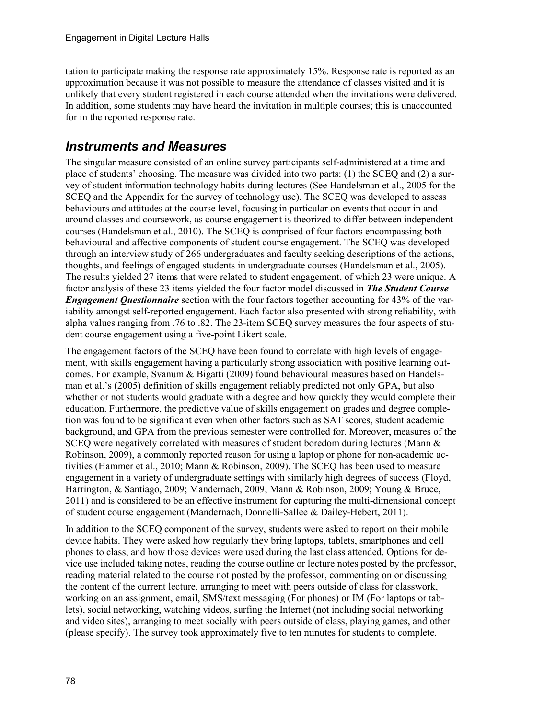tation to participate making the response rate approximately 15%. Response rate is reported as an approximation because it was not possible to measure the attendance of classes visited and it is unlikely that every student registered in each course attended when the invitations were delivered. In addition, some students may have heard the invitation in multiple courses; this is unaccounted for in the reported response rate.

### *Instruments and Measures*

The singular measure consisted of an online survey participants self-administered at a time and place of students' choosing. The measure was divided into two parts: (1) the SCEQ and (2) a survey of student information technology habits during lectures (See Handelsman et al., 2005 for the SCEQ and the Appendix for the survey of technology use). The SCEQ was developed to assess behaviours and attitudes at the course level, focusing in particular on events that occur in and around classes and coursework, as course engagement is theorized to differ between independent courses (Handelsman et al., 2010). The SCEQ is comprised of four factors encompassing both behavioural and affective components of student course engagement. The SCEQ was developed through an interview study of 266 undergraduates and faculty seeking descriptions of the actions, thoughts, and feelings of engaged students in undergraduate courses (Handelsman et al., 2005). The results yielded 27 items that were related to student engagement, of which 23 were unique. A factor analysis of these 23 items yielded the four factor model discussed in *The Student Course Engagement Questionnaire* section with the four factors together accounting for 43% of the variability amongst self-reported engagement. Each factor also presented with strong reliability, with alpha values ranging from .76 to .82. The 23-item SCEQ survey measures the four aspects of student course engagement using a five-point Likert scale.

The engagement factors of the SCEQ have been found to correlate with high levels of engagement, with skills engagement having a particularly strong association with positive learning outcomes. For example, Svanum & Bigatti (2009) found behavioural measures based on Handelsman et al.'s (2005) definition of skills engagement reliably predicted not only GPA, but also whether or not students would graduate with a degree and how quickly they would complete their education. Furthermore, the predictive value of skills engagement on grades and degree completion was found to be significant even when other factors such as SAT scores, student academic background, and GPA from the previous semester were controlled for. Moreover, measures of the SCEQ were negatively correlated with measures of student boredom during lectures (Mann & Robinson, 2009), a commonly reported reason for using a laptop or phone for non-academic activities (Hammer et al., 2010; Mann & Robinson, 2009). The SCEQ has been used to measure engagement in a variety of undergraduate settings with similarly high degrees of success (Floyd, Harrington, & Santiago, 2009; Mandernach, 2009; Mann & Robinson, 2009; Young & Bruce, 2011) and is considered to be an effective instrument for capturing the multi-dimensional concept of student course engagement (Mandernach, Donnelli-Sallee & Dailey-Hebert, 2011).

In addition to the SCEQ component of the survey, students were asked to report on their mobile device habits. They were asked how regularly they bring laptops, tablets, smartphones and cell phones to class, and how those devices were used during the last class attended. Options for device use included taking notes, reading the course outline or lecture notes posted by the professor, reading material related to the course not posted by the professor, commenting on or discussing the content of the current lecture, arranging to meet with peers outside of class for classwork, working on an assignment, email, SMS/text messaging (For phones) or IM (For laptops or tablets), social networking, watching videos, surfing the Internet (not including social networking and video sites), arranging to meet socially with peers outside of class, playing games, and other (please specify). The survey took approximately five to ten minutes for students to complete.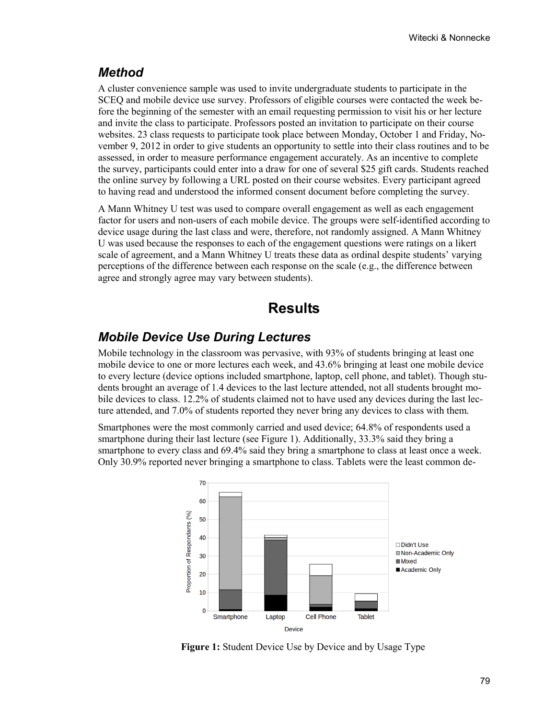#### *Method*

A cluster convenience sample was used to invite undergraduate students to participate in the SCEQ and mobile device use survey. Professors of eligible courses were contacted the week before the beginning of the semester with an email requesting permission to visit his or her lecture and invite the class to participate. Professors posted an invitation to participate on their course websites. 23 class requests to participate took place between Monday, October 1 and Friday, November 9, 2012 in order to give students an opportunity to settle into their class routines and to be assessed, in order to measure performance engagement accurately. As an incentive to complete the survey, participants could enter into a draw for one of several \$25 gift cards. Students reached the online survey by following a URL posted on their course websites. Every participant agreed to having read and understood the informed consent document before completing the survey.

A Mann Whitney U test was used to compare overall engagement as well as each engagement factor for users and non-users of each mobile device. The groups were self-identified according to device usage during the last class and were, therefore, not randomly assigned. A Mann Whitney U was used because the responses to each of the engagement questions were ratings on a likert scale of agreement, and a Mann Whitney U treats these data as ordinal despite students' varying perceptions of the difference between each response on the scale (e.g., the difference between agree and strongly agree may vary between students).

### **Results**

#### *Mobile Device Use During Lectures*

Mobile technology in the classroom was pervasive, with 93% of students bringing at least one mobile device to one or more lectures each week, and 43.6% bringing at least one mobile device to every lecture (device options included smartphone, laptop, cell phone, and tablet). Though students brought an average of 1.4 devices to the last lecture attended, not all students brought mobile devices to class. 12.2% of students claimed not to have used any devices during the last lecture attended, and 7.0% of students reported they never bring any devices to class with them.

Smartphones were the most commonly carried and used device; 64.8% of respondents used a smartphone during their last lecture (see Figure 1). Additionally, 33.3% said they bring a smartphone to every class and 69.4% said they bring a smartphone to class at least once a week. Only 30.9% reported never bringing a smartphone to class. Tablets were the least common de-



**Figure 1:** Student Device Use by Device and by Usage Type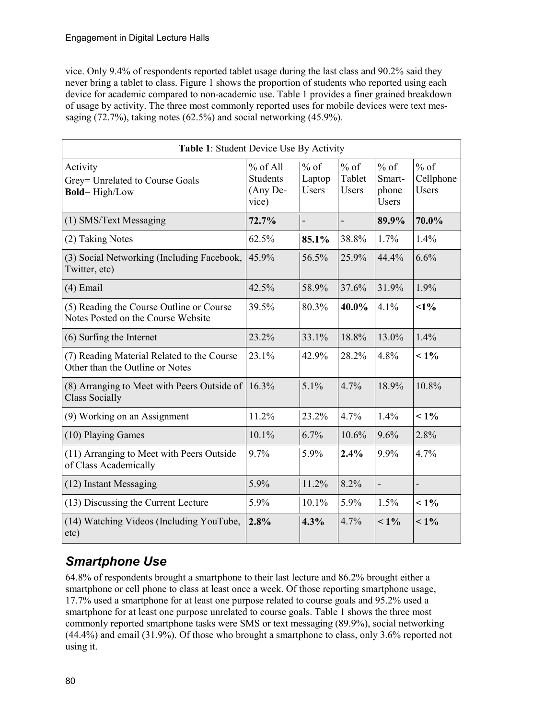vice. Only 9.4% of respondents reported tablet usage during the last class and 90.2% said they never bring a tablet to class. Figure 1 shows the proportion of students who reported using each device for academic compared to non-academic use. Table 1 provides a finer grained breakdown of usage by activity. The three most commonly reported uses for mobile devices were text messaging (72.7%), taking notes (62.5%) and social networking (45.9%).

| Table 1: Student Device Use By Activity                                        |                                                    |                                  |                                  |                                           |                                     |
|--------------------------------------------------------------------------------|----------------------------------------------------|----------------------------------|----------------------------------|-------------------------------------------|-------------------------------------|
| Activity<br>Grey= Unrelated to Course Goals<br><b>Bold=High/Low</b>            | $%$ of All<br><b>Students</b><br>(Any De-<br>vice) | $%$ of<br>Laptop<br><b>Users</b> | $%$ of<br>Tablet<br><b>Users</b> | $%$ of<br>Smart-<br>phone<br><b>Users</b> | $%$ of<br>Cellphone<br><b>Users</b> |
| (1) SMS/Text Messaging                                                         | 72.7%                                              |                                  |                                  | 89.9%                                     | 70.0%                               |
| (2) Taking Notes                                                               | 62.5%                                              | 85.1%                            | 38.8%                            | 1.7%                                      | 1.4%                                |
| (3) Social Networking (Including Facebook,<br>Twitter, etc)                    | 45.9%                                              | 56.5%                            | 25.9%                            | 44.4%                                     | 6.6%                                |
| $(4)$ Email                                                                    | 42.5%                                              | 58.9%                            | 37.6%                            | 31.9%                                     | 1.9%                                |
| (5) Reading the Course Outline or Course<br>Notes Posted on the Course Website | 39.5%                                              | 80.3%                            | 40.0%                            | 4.1%                                      | $1\%$                               |
| (6) Surfing the Internet                                                       | 23.2%                                              | 33.1%                            | 18.8%                            | 13.0%                                     | 1.4%                                |
| (7) Reading Material Related to the Course<br>Other than the Outline or Notes  | 23.1%                                              | 42.9%                            | 28.2%                            | 4.8%                                      | $1\%$                               |
| (8) Arranging to Meet with Peers Outside of<br><b>Class Socially</b>           | 16.3%                                              | 5.1%                             | 4.7%                             | 18.9%                                     | 10.8%                               |
| (9) Working on an Assignment                                                   | 11.2%                                              | 23.2%                            | 4.7%                             | $1.4\%$                                   | $1\%$                               |
| (10) Playing Games                                                             | 10.1%                                              | 6.7%                             | 10.6%                            | 9.6%                                      | 2.8%                                |
| (11) Arranging to Meet with Peers Outside<br>of Class Academically             | 9.7%                                               | 5.9%                             | 2.4%                             | 9.9%                                      | 4.7%                                |
| (12) Instant Messaging                                                         | 5.9%                                               | 11.2%                            | 8.2%                             |                                           |                                     |
| (13) Discussing the Current Lecture                                            | 5.9%                                               | 10.1%                            | 5.9%                             | 1.5%                                      | $1\%$                               |
| (14) Watching Videos (Including YouTube,<br>etc)                               | 2.8%                                               | 4.3%                             | 4.7%                             | $1\%$                                     | $1\%$                               |

## *Smartphone Use*

64.8% of respondents brought a smartphone to their last lecture and 86.2% brought either a smartphone or cell phone to class at least once a week. Of those reporting smartphone usage, 17.7% used a smartphone for at least one purpose related to course goals and 95.2% used a smartphone for at least one purpose unrelated to course goals. Table 1 shows the three most commonly reported smartphone tasks were SMS or text messaging (89.9%), social networking (44.4%) and email (31.9%). Of those who brought a smartphone to class, only 3.6% reported not using it.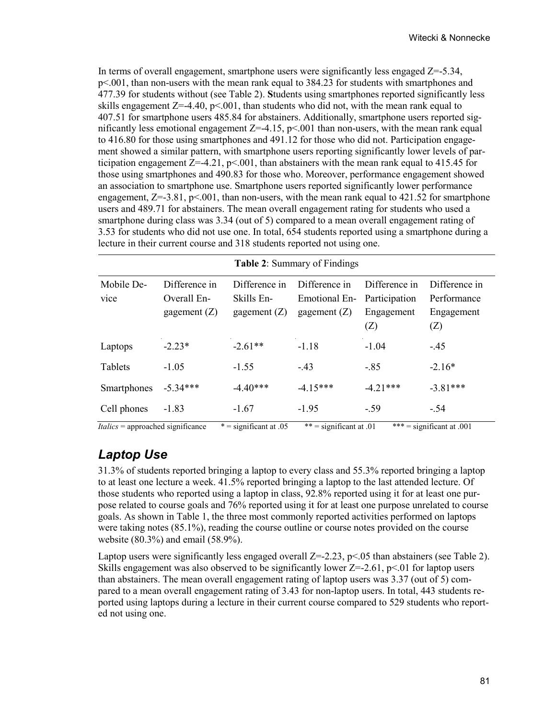In terms of overall engagement, smartphone users were significantly less engaged  $Z = -5.34$ , p<.001, than non-users with the mean rank equal to 384.23 for students with smartphones and 477.39 for students without (see Table 2). **S**tudents using smartphones reported significantly less skills engagement  $Z=4.40$ ,  $p<.001$ , than students who did not, with the mean rank equal to 407.51 for smartphone users 485.84 for abstainers. Additionally, smartphone users reported significantly less emotional engagement  $Z=-4.15$ ,  $p<.001$  than non-users, with the mean rank equal to 416.80 for those using smartphones and 491.12 for those who did not. Participation engagement showed a similar pattern, with smartphone users reporting significantly lower levels of participation engagement  $Z=4.21$ ,  $p<0.001$ , than abstainers with the mean rank equal to 415.45 for those using smartphones and 490.83 for those who. Moreover, performance engagement showed an association to smartphone use. Smartphone users reported significantly lower performance engagement,  $Z=-3.81$ ,  $p<0.001$ , than non-users, with the mean rank equal to 421.52 for smartphone users and 489.71 for abstainers. The mean overall engagement rating for students who used a smartphone during class was 3.34 (out of 5) compared to a mean overall engagement rating of 3.53 for students who did not use one. In total, 654 students reported using a smartphone during a lecture in their current course and 318 students reported not using one.

| Mobile De-<br>vice                  | Difference in<br>Overall En-<br>gagement $(Z)$ | Difference in<br>Skills En-<br>gagement $(Z)$ | Difference in<br>Emotional En-<br>gagement $(Z)$ | Difference in<br>Participation<br>Engagement<br>(Z) | Difference in<br>Performance<br>Engagement<br>(Z) |
|-------------------------------------|------------------------------------------------|-----------------------------------------------|--------------------------------------------------|-----------------------------------------------------|---------------------------------------------------|
| Laptops                             | $-2.23*$                                       | $-2.61**$                                     | $-1.18$                                          | $-1.04$                                             | $-.45$                                            |
| Tablets                             | $-1.05$                                        | $-1.55$                                       | $-.43$                                           | $-.85$                                              | $-2.16*$                                          |
| Smartphones                         | $-5.34***$                                     | $-4.40***$                                    | $-4.15***$                                       | $-4.21***$                                          | $-3.81***$                                        |
| Cell phones                         | $-1.83$                                        | $-1.67$                                       | $-1.95$                                          | $-59$                                               | $-.54$                                            |
| $Italics = approached significance$ |                                                | $* =$ significant at .05                      | ** = significant at .01                          |                                                     | *** = significant at .001                         |

|  |  |  | <b>Table 2: Summary of Findings</b> |  |  |  |
|--|--|--|-------------------------------------|--|--|--|
|--|--|--|-------------------------------------|--|--|--|

### *Laptop Use*

31.3% of students reported bringing a laptop to every class and 55.3% reported bringing a laptop to at least one lecture a week. 41.5% reported bringing a laptop to the last attended lecture. Of those students who reported using a laptop in class, 92.8% reported using it for at least one purpose related to course goals and 76% reported using it for at least one purpose unrelated to course goals. As shown in Table 1, the three most commonly reported activities performed on laptops were taking notes (85.1%), reading the course outline or course notes provided on the course website (80.3%) and email (58.9%).

Laptop users were significantly less engaged overall  $Z=-2.23$ ,  $p<0.05$  than abstainers (see Table 2). Skills engagement was also observed to be significantly lower  $Z=-2.61$ ,  $p<01$  for laptop users than abstainers. The mean overall engagement rating of laptop users was 3.37 (out of 5) compared to a mean overall engagement rating of 3.43 for non-laptop users. In total, 443 students reported using laptops during a lecture in their current course compared to 529 students who reported not using one.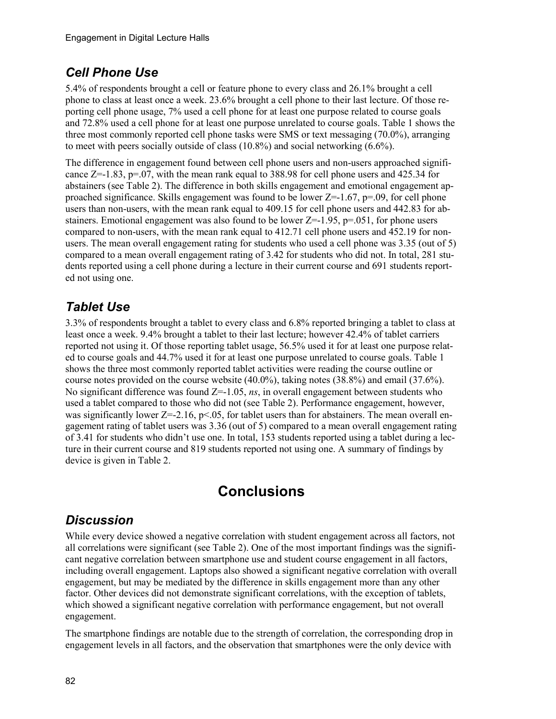### *Cell Phone Use*

5.4% of respondents brought a cell or feature phone to every class and 26.1% brought a cell phone to class at least once a week. 23.6% brought a cell phone to their last lecture. Of those reporting cell phone usage, 7% used a cell phone for at least one purpose related to course goals and 72.8% used a cell phone for at least one purpose unrelated to course goals. Table 1 shows the three most commonly reported cell phone tasks were SMS or text messaging (70.0%), arranging to meet with peers socially outside of class (10.8%) and social networking (6.6%).

The difference in engagement found between cell phone users and non-users approached significance  $Z=-1.83$ ,  $p=0.07$ , with the mean rank equal to 388.98 for cell phone users and 425.34 for abstainers (see Table 2). The difference in both skills engagement and emotional engagement approached significance. Skills engagement was found to be lower  $Z=-1.67$ ,  $p=0.09$ , for cell phone users than non-users, with the mean rank equal to 409.15 for cell phone users and 442.83 for abstainers. Emotional engagement was also found to be lower  $Z=-1.95$ ,  $p=.051$ , for phone users compared to non-users, with the mean rank equal to 412.71 cell phone users and 452.19 for nonusers. The mean overall engagement rating for students who used a cell phone was 3.35 (out of 5) compared to a mean overall engagement rating of 3.42 for students who did not. In total, 281 students reported using a cell phone during a lecture in their current course and 691 students reported not using one.

### *Tablet Use*

3.3% of respondents brought a tablet to every class and 6.8% reported bringing a tablet to class at least once a week. 9.4% brought a tablet to their last lecture; however 42.4% of tablet carriers reported not using it. Of those reporting tablet usage, 56.5% used it for at least one purpose related to course goals and 44.7% used it for at least one purpose unrelated to course goals. Table 1 shows the three most commonly reported tablet activities were reading the course outline or course notes provided on the course website (40.0%), taking notes (38.8%) and email (37.6%). No significant difference was found Z=-1.05, *ns*, in overall engagement between students who used a tablet compared to those who did not (see Table 2). Performance engagement, however, was significantly lower  $Z = -2.16$ , p<.05, for tablet users than for abstainers. The mean overall engagement rating of tablet users was 3.36 (out of 5) compared to a mean overall engagement rating of 3.41 for students who didn't use one. In total, 153 students reported using a tablet during a lecture in their current course and 819 students reported not using one. A summary of findings by device is given in Table 2.

# **Conclusions**

### *Discussion*

While every device showed a negative correlation with student engagement across all factors, not all correlations were significant (see Table 2). One of the most important findings was the significant negative correlation between smartphone use and student course engagement in all factors, including overall engagement. Laptops also showed a significant negative correlation with overall engagement, but may be mediated by the difference in skills engagement more than any other factor. Other devices did not demonstrate significant correlations, with the exception of tablets, which showed a significant negative correlation with performance engagement, but not overall engagement.

The smartphone findings are notable due to the strength of correlation, the corresponding drop in engagement levels in all factors, and the observation that smartphones were the only device with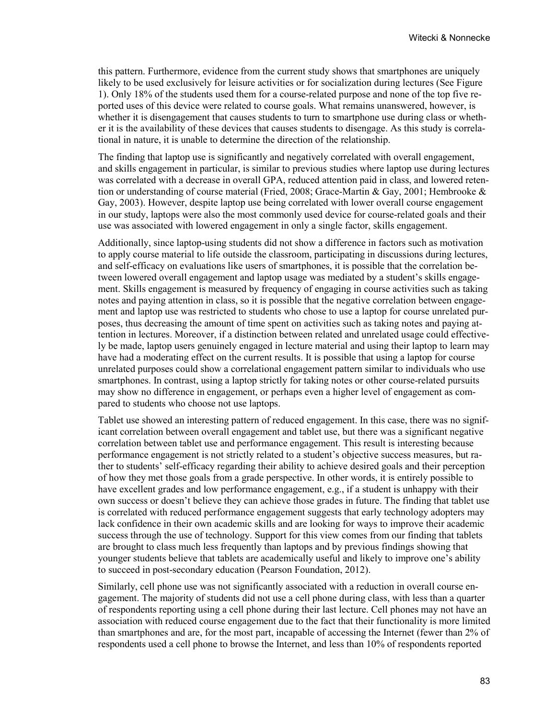this pattern. Furthermore, evidence from the current study shows that smartphones are uniquely likely to be used exclusively for leisure activities or for socialization during lectures (See Figure 1). Only 18% of the students used them for a course-related purpose and none of the top five reported uses of this device were related to course goals. What remains unanswered, however, is whether it is disengagement that causes students to turn to smartphone use during class or whether it is the availability of these devices that causes students to disengage. As this study is correlational in nature, it is unable to determine the direction of the relationship.

The finding that laptop use is significantly and negatively correlated with overall engagement, and skills engagement in particular, is similar to previous studies where laptop use during lectures was correlated with a decrease in overall GPA, reduced attention paid in class, and lowered retention or understanding of course material (Fried, 2008; Grace-Martin & Gay, 2001; Hembrooke & Gay, 2003). However, despite laptop use being correlated with lower overall course engagement in our study, laptops were also the most commonly used device for course-related goals and their use was associated with lowered engagement in only a single factor, skills engagement.

Additionally, since laptop-using students did not show a difference in factors such as motivation to apply course material to life outside the classroom, participating in discussions during lectures, and self-efficacy on evaluations like users of smartphones, it is possible that the correlation between lowered overall engagement and laptop usage was mediated by a student's skills engagement. Skills engagement is measured by frequency of engaging in course activities such as taking notes and paying attention in class, so it is possible that the negative correlation between engagement and laptop use was restricted to students who chose to use a laptop for course unrelated purposes, thus decreasing the amount of time spent on activities such as taking notes and paying attention in lectures. Moreover, if a distinction between related and unrelated usage could effectively be made, laptop users genuinely engaged in lecture material and using their laptop to learn may have had a moderating effect on the current results. It is possible that using a laptop for course unrelated purposes could show a correlational engagement pattern similar to individuals who use smartphones. In contrast, using a laptop strictly for taking notes or other course-related pursuits may show no difference in engagement, or perhaps even a higher level of engagement as compared to students who choose not use laptops.

Tablet use showed an interesting pattern of reduced engagement. In this case, there was no significant correlation between overall engagement and tablet use, but there was a significant negative correlation between tablet use and performance engagement. This result is interesting because performance engagement is not strictly related to a student's objective success measures, but rather to students' self-efficacy regarding their ability to achieve desired goals and their perception of how they met those goals from a grade perspective. In other words, it is entirely possible to have excellent grades and low performance engagement, e.g., if a student is unhappy with their own success or doesn't believe they can achieve those grades in future. The finding that tablet use is correlated with reduced performance engagement suggests that early technology adopters may lack confidence in their own academic skills and are looking for ways to improve their academic success through the use of technology. Support for this view comes from our finding that tablets are brought to class much less frequently than laptops and by previous findings showing that younger students believe that tablets are academically useful and likely to improve one's ability to succeed in post-secondary education (Pearson Foundation, 2012).

Similarly, cell phone use was not significantly associated with a reduction in overall course engagement. The majority of students did not use a cell phone during class, with less than a quarter of respondents reporting using a cell phone during their last lecture. Cell phones may not have an association with reduced course engagement due to the fact that their functionality is more limited than smartphones and are, for the most part, incapable of accessing the Internet (fewer than 2% of respondents used a cell phone to browse the Internet, and less than 10% of respondents reported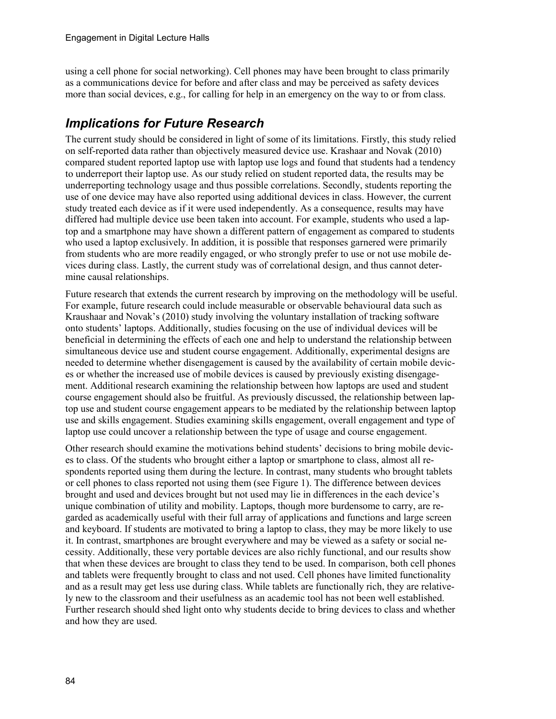using a cell phone for social networking). Cell phones may have been brought to class primarily as a communications device for before and after class and may be perceived as safety devices more than social devices, e.g., for calling for help in an emergency on the way to or from class.

### *Implications for Future Research*

The current study should be considered in light of some of its limitations. Firstly, this study relied on self-reported data rather than objectively measured device use. Krashaar and Novak (2010) compared student reported laptop use with laptop use logs and found that students had a tendency to underreport their laptop use. As our study relied on student reported data, the results may be underreporting technology usage and thus possible correlations. Secondly, students reporting the use of one device may have also reported using additional devices in class. However, the current study treated each device as if it were used independently. As a consequence, results may have differed had multiple device use been taken into account. For example, students who used a laptop and a smartphone may have shown a different pattern of engagement as compared to students who used a laptop exclusively. In addition, it is possible that responses garnered were primarily from students who are more readily engaged, or who strongly prefer to use or not use mobile devices during class. Lastly, the current study was of correlational design, and thus cannot determine causal relationships.

Future research that extends the current research by improving on the methodology will be useful. For example, future research could include measurable or observable behavioural data such as Kraushaar and Novak's (2010) study involving the voluntary installation of tracking software onto students' laptops. Additionally, studies focusing on the use of individual devices will be beneficial in determining the effects of each one and help to understand the relationship between simultaneous device use and student course engagement. Additionally, experimental designs are needed to determine whether disengagement is caused by the availability of certain mobile devices or whether the increased use of mobile devices is caused by previously existing disengagement. Additional research examining the relationship between how laptops are used and student course engagement should also be fruitful. As previously discussed, the relationship between laptop use and student course engagement appears to be mediated by the relationship between laptop use and skills engagement. Studies examining skills engagement, overall engagement and type of laptop use could uncover a relationship between the type of usage and course engagement.

Other research should examine the motivations behind students' decisions to bring mobile devices to class. Of the students who brought either a laptop or smartphone to class, almost all respondents reported using them during the lecture. In contrast, many students who brought tablets or cell phones to class reported not using them (see Figure 1). The difference between devices brought and used and devices brought but not used may lie in differences in the each device's unique combination of utility and mobility. Laptops, though more burdensome to carry, are regarded as academically useful with their full array of applications and functions and large screen and keyboard. If students are motivated to bring a laptop to class, they may be more likely to use it. In contrast, smartphones are brought everywhere and may be viewed as a safety or social necessity. Additionally, these very portable devices are also richly functional, and our results show that when these devices are brought to class they tend to be used. In comparison, both cell phones and tablets were frequently brought to class and not used. Cell phones have limited functionality and as a result may get less use during class. While tablets are functionally rich, they are relatively new to the classroom and their usefulness as an academic tool has not been well established. Further research should shed light onto why students decide to bring devices to class and whether and how they are used.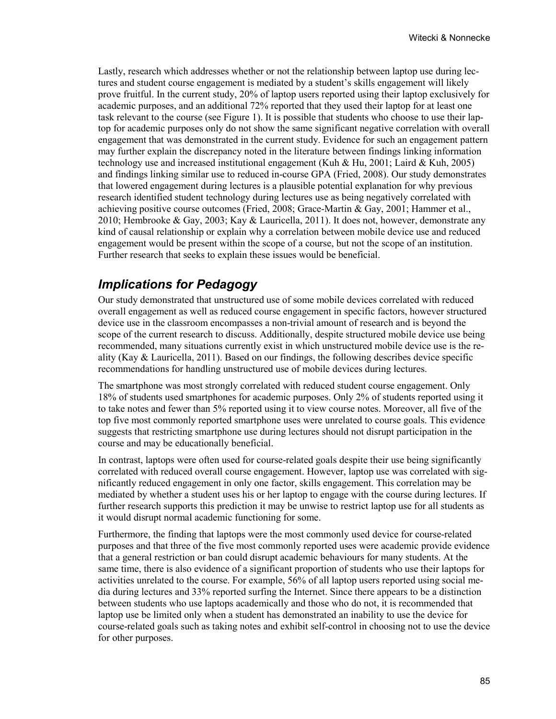Lastly, research which addresses whether or not the relationship between laptop use during lectures and student course engagement is mediated by a student's skills engagement will likely prove fruitful. In the current study, 20% of laptop users reported using their laptop exclusively for academic purposes, and an additional 72% reported that they used their laptop for at least one task relevant to the course (see Figure 1). It is possible that students who choose to use their laptop for academic purposes only do not show the same significant negative correlation with overall engagement that was demonstrated in the current study. Evidence for such an engagement pattern may further explain the discrepancy noted in the literature between findings linking information technology use and increased institutional engagement (Kuh & Hu, 2001; Laird & Kuh, 2005) and findings linking similar use to reduced in-course GPA (Fried, 2008). Our study demonstrates that lowered engagement during lectures is a plausible potential explanation for why previous research identified student technology during lectures use as being negatively correlated with achieving positive course outcomes (Fried, 2008; Grace-Martin & Gay, 2001; Hammer et al., 2010; Hembrooke & Gay, 2003; Kay & Lauricella, 2011). It does not, however, demonstrate any kind of causal relationship or explain why a correlation between mobile device use and reduced engagement would be present within the scope of a course, but not the scope of an institution. Further research that seeks to explain these issues would be beneficial.

### *Implications for Pedagogy*

Our study demonstrated that unstructured use of some mobile devices correlated with reduced overall engagement as well as reduced course engagement in specific factors, however structured device use in the classroom encompasses a non-trivial amount of research and is beyond the scope of the current research to discuss. Additionally, despite structured mobile device use being recommended, many situations currently exist in which unstructured mobile device use is the reality (Kay & Lauricella, 2011). Based on our findings, the following describes device specific recommendations for handling unstructured use of mobile devices during lectures.

The smartphone was most strongly correlated with reduced student course engagement. Only 18% of students used smartphones for academic purposes. Only 2% of students reported using it to take notes and fewer than 5% reported using it to view course notes. Moreover, all five of the top five most commonly reported smartphone uses were unrelated to course goals. This evidence suggests that restricting smartphone use during lectures should not disrupt participation in the course and may be educationally beneficial.

In contrast, laptops were often used for course-related goals despite their use being significantly correlated with reduced overall course engagement. However, laptop use was correlated with significantly reduced engagement in only one factor, skills engagement. This correlation may be mediated by whether a student uses his or her laptop to engage with the course during lectures. If further research supports this prediction it may be unwise to restrict laptop use for all students as it would disrupt normal academic functioning for some.

Furthermore, the finding that laptops were the most commonly used device for course-related purposes and that three of the five most commonly reported uses were academic provide evidence that a general restriction or ban could disrupt academic behaviours for many students. At the same time, there is also evidence of a significant proportion of students who use their laptops for activities unrelated to the course. For example, 56% of all laptop users reported using social media during lectures and 33% reported surfing the Internet. Since there appears to be a distinction between students who use laptops academically and those who do not, it is recommended that laptop use be limited only when a student has demonstrated an inability to use the device for course-related goals such as taking notes and exhibit self-control in choosing not to use the device for other purposes.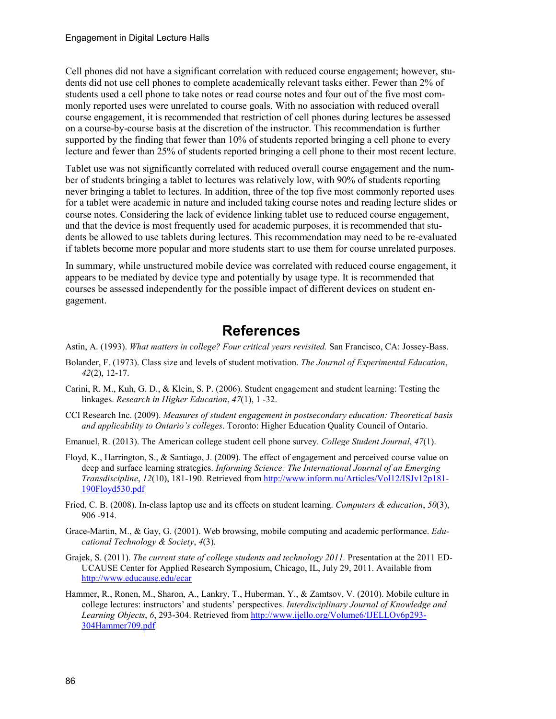Cell phones did not have a significant correlation with reduced course engagement; however, students did not use cell phones to complete academically relevant tasks either. Fewer than 2% of students used a cell phone to take notes or read course notes and four out of the five most commonly reported uses were unrelated to course goals. With no association with reduced overall course engagement, it is recommended that restriction of cell phones during lectures be assessed on a course-by-course basis at the discretion of the instructor. This recommendation is further supported by the finding that fewer than 10% of students reported bringing a cell phone to every lecture and fewer than 25% of students reported bringing a cell phone to their most recent lecture.

Tablet use was not significantly correlated with reduced overall course engagement and the number of students bringing a tablet to lectures was relatively low, with 90% of students reporting never bringing a tablet to lectures. In addition, three of the top five most commonly reported uses for a tablet were academic in nature and included taking course notes and reading lecture slides or course notes. Considering the lack of evidence linking tablet use to reduced course engagement, and that the device is most frequently used for academic purposes, it is recommended that students be allowed to use tablets during lectures. This recommendation may need to be re-evaluated if tablets become more popular and more students start to use them for course unrelated purposes.

In summary, while unstructured mobile device was correlated with reduced course engagement, it appears to be mediated by device type and potentially by usage type. It is recommended that courses be assessed independently for the possible impact of different devices on student engagement.

### **References**

Astin, A. (1993). *What matters in college? Four critical years revisited.* San Francisco, CA: Jossey-Bass.

- Bolander, F. (1973). Class size and levels of student motivation. *The Journal of Experimental Education*, *42*(2), 12-17.
- Carini, R. M., Kuh, G. D., & Klein, S. P. (2006). Student engagement and student learning: Testing the linkages. *Research in Higher Education*, *47*(1), 1 -32.
- CCI Research Inc. (2009). *Measures of student engagement in postsecondary education: Theoretical basis and applicability to Ontario's colleges*. Toronto: Higher Education Quality Council of Ontario.
- Emanuel, R. (2013). The American college student cell phone survey. *College Student Journal*, *47*(1).
- Floyd, K., Harrington, S., & Santiago, J. (2009). The effect of engagement and perceived course value on deep and surface learning strategies. *Informing Science: The International Journal of an Emerging Transdiscipline*, *12*(10), 181-190. Retrieved fro[m http://www.inform.nu/Articles/Vol12/ISJv12p181-](http://www.inform.nu/Articles/Vol12/ISJv12p181-190Floyd530.pdf) [190Floyd530.pdf](http://www.inform.nu/Articles/Vol12/ISJv12p181-190Floyd530.pdf)
- Fried, C. B. (2008). In-class laptop use and its effects on student learning. *Computers & education*, *50*(3), 906 -914.
- Grace-Martin, M., & Gay, G. (2001). Web browsing, mobile computing and academic performance. *Educational Technology & Society*, *4*(3).
- Grajek, S. (2011). *The current state of college students and technology 2011.* Presentation at the 2011 ED-UCAUSE Center for Applied Research Symposium, Chicago, IL, July 29, 2011. Available from <http://www.educause.edu/ecar>
- Hammer, R., Ronen, M., Sharon, A., Lankry, T., Huberman, Y., & Zamtsov, V. (2010). Mobile culture in college lectures: instructors' and students' perspectives. *Interdisciplinary Journal of Knowledge and Learning Objects*, *6*, 293-304. Retrieved from [http://www.ijello.org/Volume6/IJELLOv6p293-](http://www.ijello.org/Volume6/IJELLOv6p293-304Hammer709.pdf) [304Hammer709.pdf](http://www.ijello.org/Volume6/IJELLOv6p293-304Hammer709.pdf)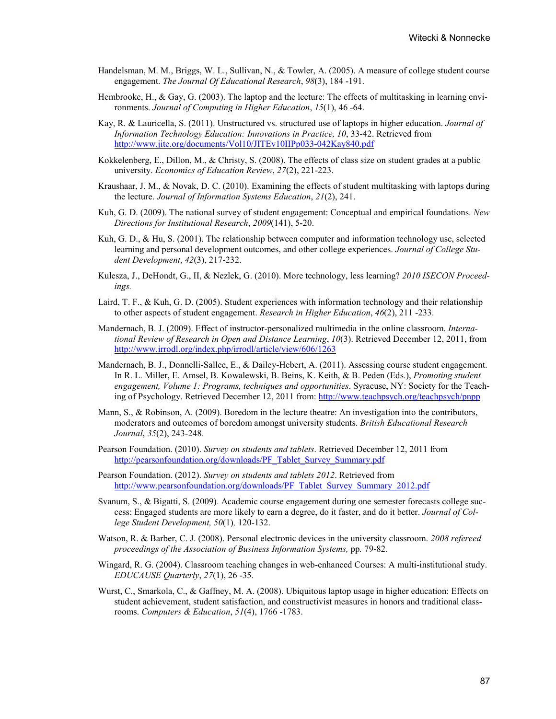- Handelsman, M. M., Briggs, W. L., Sullivan, N., & Towler, A. (2005). A measure of college student course engagement. *The Journal Of Educational Research*, *98*(3), 184 -191.
- Hembrooke, H., & Gay, G. (2003). The laptop and the lecture: The effects of multitasking in learning environments. *Journal of Computing in Higher Education*, *15*(1), 46 -64.
- Kay, R. & Lauricella, S. (2011). Unstructured vs. structured use of laptops in higher education. *Journal of Information Technology Education: Innovations in Practice, 10*, 33-42. Retrieved from <http://www.jite.org/documents/Vol10/JITEv10IIPp033-042Kay840.pdf>
- Kokkelenberg, E., Dillon, M., & Christy, S. (2008). The effects of class size on student grades at a public university. *Economics of Education Review*, *27*(2), 221-223.
- Kraushaar, J. M., & Novak, D. C. (2010). Examining the effects of student multitasking with laptops during the lecture. *Journal of Information Systems Education*, *21*(2), 241.
- Kuh, G. D. (2009). The national survey of student engagement: Conceptual and empirical foundations. *New Directions for Institutional Research*, *2009*(141), 5-20.
- Kuh, G. D., & Hu, S. (2001). The relationship between computer and information technology use, selected learning and personal development outcomes, and other college experiences. *Journal of College Student Development*, *42*(3), 217-232.
- Kulesza, J., DeHondt, G., II, & Nezlek, G. (2010). More technology, less learning? *2010 ISECON Proceedings.*
- Laird, T. F., & Kuh, G. D. (2005). Student experiences with information technology and their relationship to other aspects of student engagement. *Research in Higher Education*, *46*(2), 211 -233.
- Mandernach, B. J. (2009). Effect of instructor-personalized multimedia in the online classroom. *International Review of Research in Open and Distance Learning*, *10*(3). Retrieved December 12, 2011, from <http://www.irrodl.org/index.php/irrodl/article/view/606/1263>
- Mandernach, B. J., Donnelli-Sallee, E., & Dailey-Hebert, A. (2011). Assessing course student engagement. In R. L. Miller, E. Amsel, B. Kowalewski, B. Beins, K. Keith, & B. Peden (Eds.), *Promoting student engagement, Volume 1: Programs, techniques and opportunities*. Syracuse, NY: Society for the Teaching of Psychology. Retrieved December 12, 2011 from:<http://www.teachpsych.org/teachpsych/pnpp>
- Mann, S., & Robinson, A. (2009). Boredom in the lecture theatre: An investigation into the contributors, moderators and outcomes of boredom amongst university students. *British Educational Research Journal*, *35*(2), 243-248.
- Pearson Foundation. (2010). *Survey on students and tablets*. Retrieved December 12, 2011 from [http://pearsonfoundation.org/downloads/PF\\_Tablet\\_Survey\\_Summary.pdf](http://pearsonfoundation.org/downloads/PF_Tablet_Survey_Summary.pdf)
- Pearson Foundation. (2012). *Survey on students and tablets 2012*. Retrieved from [http://www.pearsonfoundation.org/downloads/PF\\_Tablet\\_Survey\\_Summary\\_2012.pdf](http://www.pearsonfoundation.org/downloads/PF_Tablet_Survey_Summary_2012.pdf)
- Svanum, S., & Bigatti, S. (2009). Academic course engagement during one semester forecasts college success: Engaged students are more likely to earn a degree, do it faster, and do it better. *Journal of College Student Development, 50*(1)*,* 120-132.
- Watson, R. & Barber, C. J. (2008). Personal electronic devices in the university classroom. *2008 refereed proceedings of the Association of Business Information Systems,* pp*.* 79-82.
- Wingard, R. G. (2004). Classroom teaching changes in web-enhanced Courses: A multi-institutional study. *EDUCAUSE Quarterly*, *27*(1), 26 -35.
- Wurst, C., Smarkola, C., & Gaffney, M. A. (2008). Ubiquitous laptop usage in higher education: Effects on student achievement, student satisfaction, and constructivist measures in honors and traditional classrooms. *Computers & Education*, *51*(4), 1766 -1783.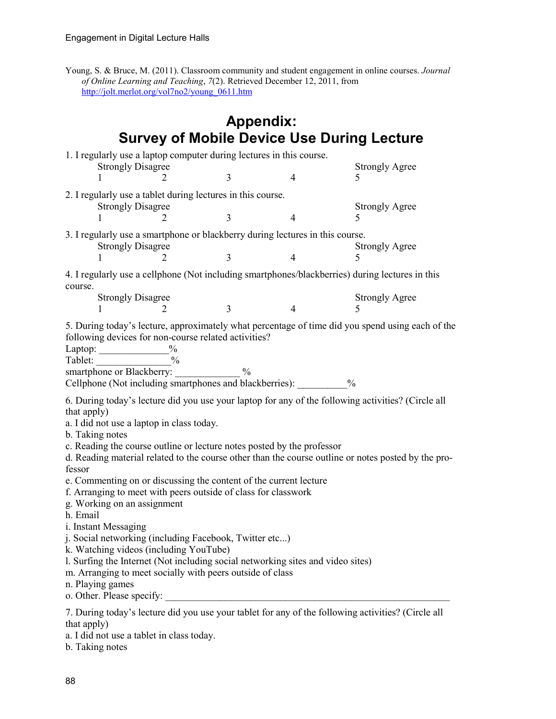Young, S. & Bruce, M. (2011). Classroom community and student engagement in online courses. *Journal of Online Learning and Teaching*, *7*(2). Retrieved December 12, 2011, from [http://jolt.merlot.org/vol7no2/young\\_0611.htm](http://jolt.merlot.org/vol7no2/young_0611.htm)

|                                                                                                                                                                                                                                                                                                                                                                                                                                                                                                                                                                                                                                                   |                                | <b>Appendix:</b> |                |                                                                                                                                                                                                           |  |
|---------------------------------------------------------------------------------------------------------------------------------------------------------------------------------------------------------------------------------------------------------------------------------------------------------------------------------------------------------------------------------------------------------------------------------------------------------------------------------------------------------------------------------------------------------------------------------------------------------------------------------------------------|--------------------------------|------------------|----------------|-----------------------------------------------------------------------------------------------------------------------------------------------------------------------------------------------------------|--|
| <b>Survey of Mobile Device Use During Lecture</b>                                                                                                                                                                                                                                                                                                                                                                                                                                                                                                                                                                                                 |                                |                  |                |                                                                                                                                                                                                           |  |
| 1. I regularly use a laptop computer during lectures in this course.<br><b>Strongly Disagree</b><br>1                                                                                                                                                                                                                                                                                                                                                                                                                                                                                                                                             | 2                              | 3                | 4              | <b>Strongly Agree</b><br>5                                                                                                                                                                                |  |
| 2. I regularly use a tablet during lectures in this course.                                                                                                                                                                                                                                                                                                                                                                                                                                                                                                                                                                                       |                                |                  |                |                                                                                                                                                                                                           |  |
| <b>Strongly Disagree</b>                                                                                                                                                                                                                                                                                                                                                                                                                                                                                                                                                                                                                          | 2                              | $\overline{3}$   | $\overline{4}$ | <b>Strongly Agree</b><br>5                                                                                                                                                                                |  |
| 3. I regularly use a smartphone or blackberry during lectures in this course.<br><b>Strongly Disagree</b>                                                                                                                                                                                                                                                                                                                                                                                                                                                                                                                                         | <b>Strongly Agree</b>          |                  |                |                                                                                                                                                                                                           |  |
|                                                                                                                                                                                                                                                                                                                                                                                                                                                                                                                                                                                                                                                   |                                | $\overline{3}$   | $\overline{4}$ |                                                                                                                                                                                                           |  |
| course.                                                                                                                                                                                                                                                                                                                                                                                                                                                                                                                                                                                                                                           |                                |                  |                | 4. I regularly use a cellphone (Not including smartphones/blackberries) during lectures in this                                                                                                           |  |
| <b>Strongly Disagree</b>                                                                                                                                                                                                                                                                                                                                                                                                                                                                                                                                                                                                                          | 2                              | 3                | $\overline{4}$ | <b>Strongly Agree</b><br>5                                                                                                                                                                                |  |
| following devices for non-course related activities?<br>Laptop:<br>Tablet:<br>smartphone or Blackberry:<br>Cellphone (Not including smartphones and blackberries): $\%$                                                                                                                                                                                                                                                                                                                                                                                                                                                                           | $\frac{0}{0}$<br>$\frac{0}{0}$ | $\frac{0}{0}$    |                | 5. During today's lecture, approximately what percentage of time did you spend using each of the                                                                                                          |  |
| that apply)<br>a. I did not use a laptop in class today.<br>b. Taking notes<br>c. Reading the course outline or lecture notes posted by the professor<br>fessor<br>e. Commenting on or discussing the content of the current lecture<br>f. Arranging to meet with peers outside of class for classwork<br>g. Working on an assignment<br>h. Email<br>i. Instant Messaging<br>j. Social networking (including Facebook, Twitter etc)<br>k. Watching videos (including YouTube)<br>1. Surfing the Internet (Not including social networking sites and video sites)<br>m. Arranging to meet socially with peers outside of class<br>n. Playing games |                                |                  |                | 6. During today's lecture did you use your laptop for any of the following activities? (Circle all<br>d. Reading material related to the course other than the course outline or notes posted by the pro- |  |
| that apply)                                                                                                                                                                                                                                                                                                                                                                                                                                                                                                                                                                                                                                       |                                |                  |                | 7. During today's lecture did you use your tablet for any of the following activities? (Circle all                                                                                                        |  |

a. I did not use a tablet in class today.

b. Taking notes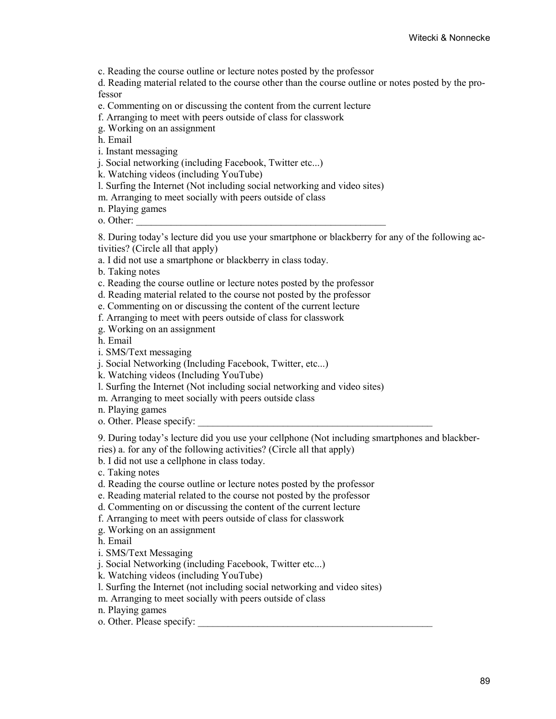c. Reading the course outline or lecture notes posted by the professor

d. Reading material related to the course other than the course outline or notes posted by the professor

- e. Commenting on or discussing the content from the current lecture
- f. Arranging to meet with peers outside of class for classwork
- g. Working on an assignment

h. Email

- i. Instant messaging
- j. Social networking (including Facebook, Twitter etc...)
- k. Watching videos (including YouTube)
- l. Surfing the Internet (Not including social networking and video sites)
- m. Arranging to meet socially with peers outside of class
- n. Playing games

o. Other:

8. During today's lecture did you use your smartphone or blackberry for any of the following activities? (Circle all that apply)

- a. I did not use a smartphone or blackberry in class today.
- b. Taking notes
- c. Reading the course outline or lecture notes posted by the professor
- d. Reading material related to the course not posted by the professor
- e. Commenting on or discussing the content of the current lecture
- f. Arranging to meet with peers outside of class for classwork
- g. Working on an assignment
- h. Email
- i. SMS/Text messaging
- j. Social Networking (Including Facebook, Twitter, etc...)
- k. Watching videos (Including YouTube)
- l. Surfing the Internet (Not including social networking and video sites)
- m. Arranging to meet socially with peers outside class
- n. Playing games
- o. Other. Please specify:

9. During today's lecture did you use your cellphone (Not including smartphones and blackberries) a. for any of the following activities? (Circle all that apply)

b. I did not use a cellphone in class today.

- c. Taking notes
- d. Reading the course outline or lecture notes posted by the professor
- e. Reading material related to the course not posted by the professor
- d. Commenting on or discussing the content of the current lecture
- f. Arranging to meet with peers outside of class for classwork
- g. Working on an assignment
- h. Email
- i. SMS/Text Messaging
- j. Social Networking (including Facebook, Twitter etc...)
- k. Watching videos (including YouTube)
- l. Surfing the Internet (not including social networking and video sites)
- m. Arranging to meet socially with peers outside of class
- n. Playing games
- o. Other. Please specify: \_\_\_\_\_\_\_\_\_\_\_\_\_\_\_\_\_\_\_\_\_\_\_\_\_\_\_\_\_\_\_\_\_\_\_\_\_\_\_\_\_\_\_\_\_\_\_